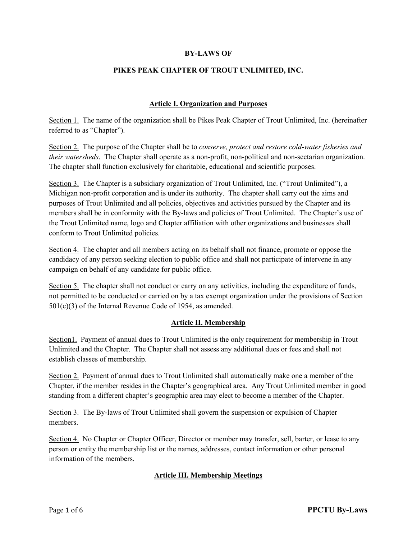### **BY-LAWS OF**

### **PIKES PEAK CHAPTER OF TROUT UNLIMITED, INC.**

### **Article I. Organization and Purposes**

Section 1. The name of the organization shall be Pikes Peak Chapter of Trout Unlimited, Inc. (hereinafter referred to as "Chapter").

Section 2. The purpose of the Chapter shall be to *conserve, protect and restore cold-water fisheries and their watersheds*. The Chapter shall operate as a non-profit, non-political and non-sectarian organization. The chapter shall function exclusively for charitable, educational and scientific purposes.

Section 3. The Chapter is a subsidiary organization of Trout Unlimited, Inc. ("Trout Unlimited"), a Michigan non-profit corporation and is under its authority. The chapter shall carry out the aims and purposes of Trout Unlimited and all policies, objectives and activities pursued by the Chapter and its members shall be in conformity with the By-laws and policies of Trout Unlimited. The Chapter's use of the Trout Unlimited name, logo and Chapter affiliation with other organizations and businesses shall conform to Trout Unlimited policies.

Section 4. The chapter and all members acting on its behalf shall not finance, promote or oppose the candidacy of any person seeking election to public office and shall not participate of intervene in any campaign on behalf of any candidate for public office.

Section 5. The chapter shall not conduct or carry on any activities, including the expenditure of funds, not permitted to be conducted or carried on by a tax exempt organization under the provisions of Section 501(c)(3) of the Internal Revenue Code of 1954, as amended.

#### **Article II. Membership**

Section1. Payment of annual dues to Trout Unlimited is the only requirement for membership in Trout Unlimited and the Chapter. The Chapter shall not assess any additional dues or fees and shall not establish classes of membership.

Section 2. Payment of annual dues to Trout Unlimited shall automatically make one a member of the Chapter, if the member resides in the Chapter's geographical area. Any Trout Unlimited member in good standing from a different chapter's geographic area may elect to become a member of the Chapter.

Section 3. The By-laws of Trout Unlimited shall govern the suspension or expulsion of Chapter members.

Section 4. No Chapter or Chapter Officer, Director or member may transfer, sell, barter, or lease to any person or entity the membership list or the names, addresses, contact information or other personal information of the members.

### **Article III. Membership Meetings**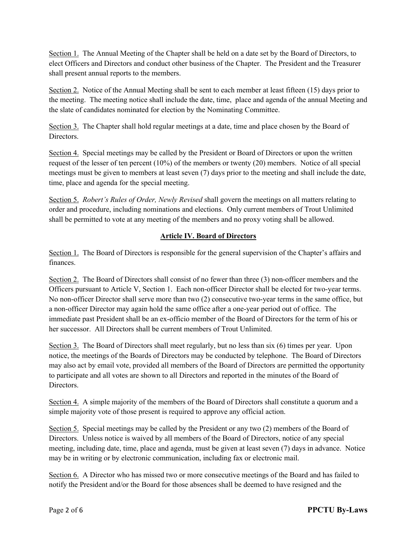Section 1. The Annual Meeting of the Chapter shall be held on a date set by the Board of Directors, to elect Officers and Directors and conduct other business of the Chapter. The President and the Treasurer shall present annual reports to the members.

Section 2. Notice of the Annual Meeting shall be sent to each member at least fifteen (15) days prior to the meeting. The meeting notice shall include the date, time, place and agenda of the annual Meeting and the slate of candidates nominated for election by the Nominating Committee.

Section 3. The Chapter shall hold regular meetings at a date, time and place chosen by the Board of Directors.

Section 4. Special meetings may be called by the President or Board of Directors or upon the written request of the lesser of ten percent (10%) of the members or twenty (20) members. Notice of all special meetings must be given to members at least seven (7) days prior to the meeting and shall include the date, time, place and agenda for the special meeting.

Section 5. *Robert's Rules of Order, Newly Revised* shall govern the meetings on all matters relating to order and procedure, including nominations and elections. Only current members of Trout Unlimited shall be permitted to vote at any meeting of the members and no proxy voting shall be allowed.

## **Article IV. Board of Directors**

Section 1. The Board of Directors is responsible for the general supervision of the Chapter's affairs and finances.

Section 2. The Board of Directors shall consist of no fewer than three (3) non-officer members and the Officers pursuant to Article V, Section 1. Each non-officer Director shall be elected for two-year terms. No non-officer Director shall serve more than two (2) consecutive two-year terms in the same office, but a non-officer Director may again hold the same office after a one-year period out of office. The immediate past President shall be an ex-officio member of the Board of Directors for the term of his or her successor. All Directors shall be current members of Trout Unlimited.

Section 3. The Board of Directors shall meet regularly, but no less than six (6) times per year. Upon notice, the meetings of the Boards of Directors may be conducted by telephone. The Board of Directors may also act by email vote, provided all members of the Board of Directors are permitted the opportunity to participate and all votes are shown to all Directors and reported in the minutes of the Board of Directors.

Section 4. A simple majority of the members of the Board of Directors shall constitute a quorum and a simple majority vote of those present is required to approve any official action.

Section 5. Special meetings may be called by the President or any two (2) members of the Board of Directors. Unless notice is waived by all members of the Board of Directors, notice of any special meeting, including date, time, place and agenda, must be given at least seven (7) days in advance. Notice may be in writing or by electronic communication, including fax or electronic mail.

Section 6. A Director who has missed two or more consecutive meetings of the Board and has failed to notify the President and/or the Board for those absences shall be deemed to have resigned and the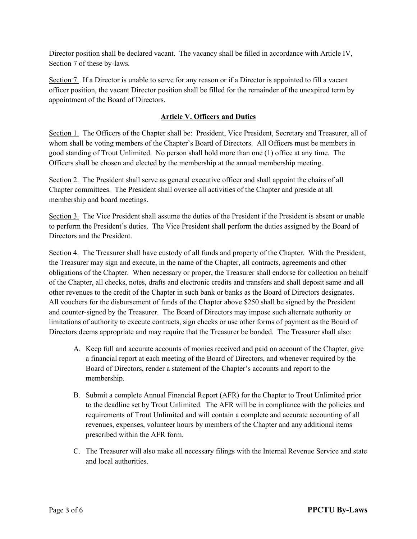Director position shall be declared vacant. The vacancy shall be filled in accordance with Article IV, Section 7 of these by-laws.

Section 7. If a Director is unable to serve for any reason or if a Director is appointed to fill a vacant officer position, the vacant Director position shall be filled for the remainder of the unexpired term by appointment of the Board of Directors.

### **Article V. Officers and Duties**

Section 1. The Officers of the Chapter shall be: President, Vice President, Secretary and Treasurer, all of whom shall be voting members of the Chapter's Board of Directors. All Officers must be members in good standing of Trout Unlimited. No person shall hold more than one (1) office at any time. The Officers shall be chosen and elected by the membership at the annual membership meeting.

Section 2. The President shall serve as general executive officer and shall appoint the chairs of all Chapter committees. The President shall oversee all activities of the Chapter and preside at all membership and board meetings.

Section 3. The Vice President shall assume the duties of the President if the President is absent or unable to perform the President's duties. The Vice President shall perform the duties assigned by the Board of Directors and the President.

Section 4. The Treasurer shall have custody of all funds and property of the Chapter. With the President, the Treasurer may sign and execute, in the name of the Chapter, all contracts, agreements and other obligations of the Chapter. When necessary or proper, the Treasurer shall endorse for collection on behalf of the Chapter, all checks, notes, drafts and electronic credits and transfers and shall deposit same and all other revenues to the credit of the Chapter in such bank or banks as the Board of Directors designates. All vouchers for the disbursement of funds of the Chapter above \$250 shall be signed by the President and counter-signed by the Treasurer. The Board of Directors may impose such alternate authority or limitations of authority to execute contracts, sign checks or use other forms of payment as the Board of Directors deems appropriate and may require that the Treasurer be bonded. The Treasurer shall also:

- A. Keep full and accurate accounts of monies received and paid on account of the Chapter, give a financial report at each meeting of the Board of Directors, and whenever required by the Board of Directors, render a statement of the Chapter's accounts and report to the membership.
- B. Submit a complete Annual Financial Report (AFR) for the Chapter to Trout Unlimited prior to the deadline set by Trout Unlimited. The AFR will be in compliance with the policies and requirements of Trout Unlimited and will contain a complete and accurate accounting of all revenues, expenses, volunteer hours by members of the Chapter and any additional items prescribed within the AFR form.
- C. The Treasurer will also make all necessary filings with the Internal Revenue Service and state and local authorities.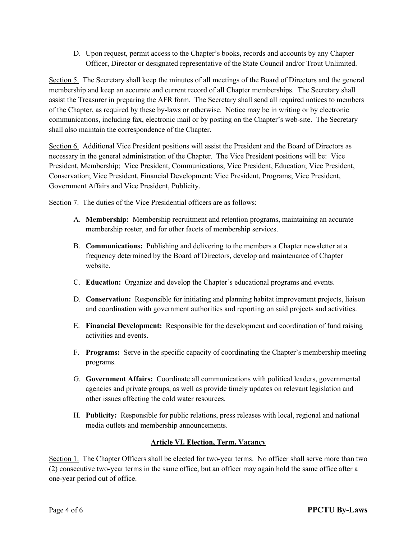D. Upon request, permit access to the Chapter's books, records and accounts by any Chapter Officer, Director or designated representative of the State Council and/or Trout Unlimited.

Section 5. The Secretary shall keep the minutes of all meetings of the Board of Directors and the general membership and keep an accurate and current record of all Chapter memberships. The Secretary shall assist the Treasurer in preparing the AFR form. The Secretary shall send all required notices to members of the Chapter, as required by these by-laws or otherwise. Notice may be in writing or by electronic communications, including fax, electronic mail or by posting on the Chapter's web-site. The Secretary shall also maintain the correspondence of the Chapter.

Section 6. Additional Vice President positions will assist the President and the Board of Directors as necessary in the general administration of the Chapter. The Vice President positions will be: Vice President, Membership; Vice President, Communications; Vice President, Education; Vice President, Conservation; Vice President, Financial Development; Vice President, Programs; Vice President, Government Affairs and Vice President, Publicity.

Section 7. The duties of the Vice Presidential officers are as follows:

- A. **Membership:** Membership recruitment and retention programs, maintaining an accurate membership roster, and for other facets of membership services.
- B. **Communications:** Publishing and delivering to the members a Chapter newsletter at a frequency determined by the Board of Directors, develop and maintenance of Chapter website.
- C. **Education:** Organize and develop the Chapter's educational programs and events.
- D. **Conservation:** Responsible for initiating and planning habitat improvement projects, liaison and coordination with government authorities and reporting on said projects and activities.
- E. **Financial Development:** Responsible for the development and coordination of fund raising activities and events.
- F. **Programs:** Serve in the specific capacity of coordinating the Chapter's membership meeting programs.
- G. **Government Affairs:** Coordinate all communications with political leaders, governmental agencies and private groups, as well as provide timely updates on relevant legislation and other issues affecting the cold water resources.
- H. **Publicity:** Responsible for public relations, press releases with local, regional and national media outlets and membership announcements.

# **Article VI. Election, Term, Vacancy**

Section 1. The Chapter Officers shall be elected for two-year terms. No officer shall serve more than two (2) consecutive two-year terms in the same office, but an officer may again hold the same office after a one-year period out of office.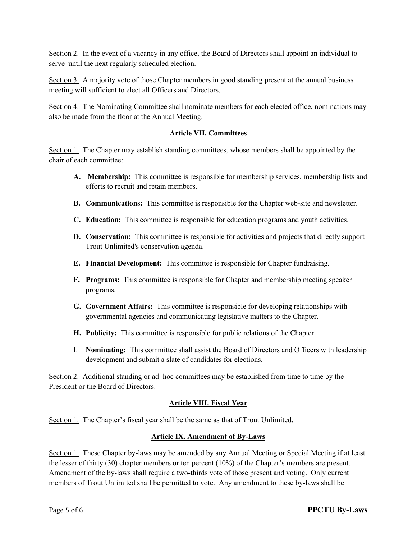Section 2. In the event of a vacancy in any office, the Board of Directors shall appoint an individual to serve until the next regularly scheduled election.

Section 3. A majority vote of those Chapter members in good standing present at the annual business meeting will sufficient to elect all Officers and Directors.

Section 4. The Nominating Committee shall nominate members for each elected office, nominations may also be made from the floor at the Annual Meeting.

### **Article VII. Committees**

Section 1. The Chapter may establish standing committees, whose members shall be appointed by the chair of each committee:

- **A. Membership:** This committee is responsible for membership services, membership lists and efforts to recruit and retain members.
- **B. Communications:** This committee is responsible for the Chapter web-site and newsletter.
- **C. Education:** This committee is responsible for education programs and youth activities.
- **D. Conservation:** This committee is responsible for activities and projects that directly support Trout Unlimited's conservation agenda.
- **E. Financial Development:** This committee is responsible for Chapter fundraising.
- **F. Programs:** This committee is responsible for Chapter and membership meeting speaker programs.
- **G. Government Affairs:** This committee is responsible for developing relationships with governmental agencies and communicating legislative matters to the Chapter.
- **H. Publicity:** This committee is responsible for public relations of the Chapter.
- I. **Nominating:** This committee shall assist the Board of Directors and Officers with leadership development and submit a slate of candidates for elections.

Section 2. Additional standing or ad hoc committees may be established from time to time by the President or the Board of Directors.

#### **Article VIII. Fiscal Year**

Section 1. The Chapter's fiscal year shall be the same as that of Trout Unlimited.

#### **Article IX. Amendment of By-Laws**

Section 1. These Chapter by-laws may be amended by any Annual Meeting or Special Meeting if at least the lesser of thirty (30) chapter members or ten percent (10%) of the Chapter's members are present. Amendment of the by-laws shall require a two-thirds vote of those present and voting. Only current members of Trout Unlimited shall be permitted to vote. Any amendment to these by-laws shall be